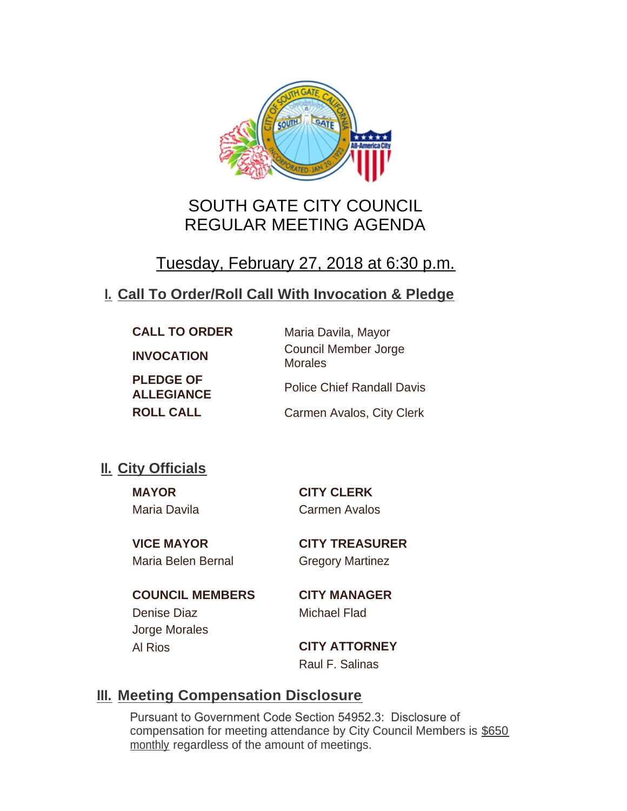

# SOUTH GATE CITY COUNCIL REGULAR MEETING AGENDA

# Tuesday, February 27, 2018 at 6:30 p.m.

## **Call To Order/Roll Call With Invocation & Pledge I.**

| <b>CALL TO ORDER</b>                  | Maria Davila, Mayor                           |
|---------------------------------------|-----------------------------------------------|
| <b>INVOCATION</b>                     | <b>Council Member Jorge</b><br><b>Morales</b> |
| <b>PLEDGE OF</b><br><b>ALLEGIANCE</b> | <b>Police Chief Randall Davis</b>             |
| <b>ROLL CALL</b>                      | Carmen Avalos, City Clerk                     |

## **II.** City Officials

**MAYOR CITY CLERK** Maria Davila Carmen Avalos

Maria Belen Bernal Gregory Martinez

**VICE MAYOR CITY TREASURER**

**COUNCIL MEMBERS CITY MANAGER** Denise Diaz Michael Flad Jorge Morales Al Rios **CITY ATTORNEY**

Raul F. Salinas

## **Meeting Compensation Disclosure III.**

Pursuant to Government Code Section 54952.3: Disclosure of compensation for meeting attendance by City Council Members is \$650 monthly regardless of the amount of meetings.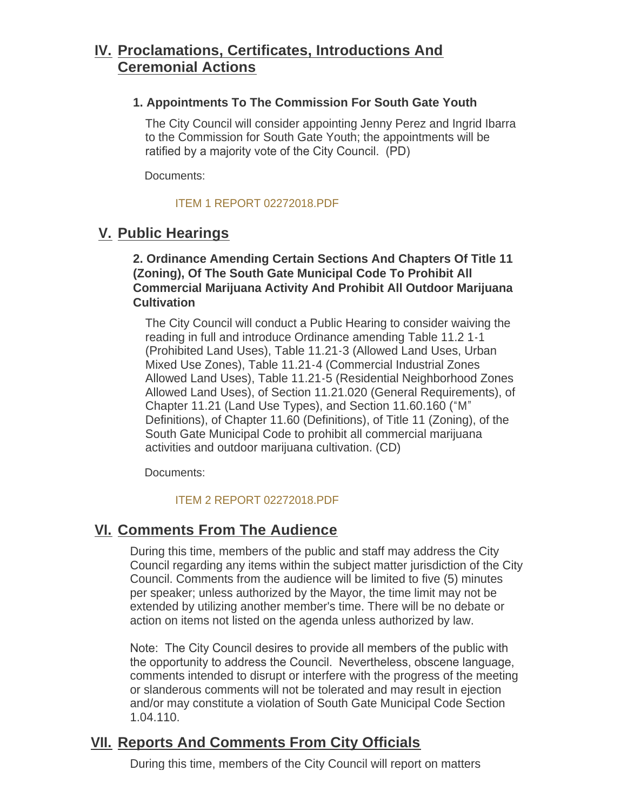## **Proclamations, Certificates, Introductions And IV. Ceremonial Actions**

#### **1. Appointments To The Commission For South Gate Youth**

The City Council will consider appointing Jenny Perez and Ingrid Ibarra to the Commission for South Gate Youth; the appointments will be ratified by a majority vote of the City Council. (PD)

Documents:

#### [ITEM 1 REPORT 02272018.PDF](http://cityofsouthgate.org/AgendaCenter/ViewFile/Item/5494?fileID=11763)

## **Public Hearings V.**

**2. Ordinance Amending Certain Sections And Chapters Of Title 11 (Zoning), Of The South Gate Municipal Code To Prohibit All Commercial Marijuana Activity And Prohibit All Outdoor Marijuana Cultivation**

The City Council will conduct a Public Hearing to consider waiving the reading in full and introduce Ordinance amending Table 11.2 1-1 (Prohibited Land Uses), Table 11.21-3 (Allowed Land Uses, Urban Mixed Use Zones), Table 11.21-4 (Commercial Industrial Zones Allowed Land Uses), Table 11.21-5 (Residential Neighborhood Zones Allowed Land Uses), of Section 11.21.020 (General Requirements), of Chapter 11.21 (Land Use Types), and Section 11.60.160 ("M" Definitions), of Chapter 11.60 (Definitions), of Title 11 (Zoning), of the South Gate Municipal Code to prohibit all commercial marijuana activities and outdoor marijuana cultivation. (CD)

Documents:

#### [ITEM 2 REPORT 02272018.PDF](http://cityofsouthgate.org/AgendaCenter/ViewFile/Item/5514?fileID=11775)

## **<u>VI. Comments From The Audience</u>**

During this time, members of the public and staff may address the City Council regarding any items within the subject matter jurisdiction of the City Council. Comments from the audience will be limited to five (5) minutes per speaker; unless authorized by the Mayor, the time limit may not be extended by utilizing another member's time. There will be no debate or action on items not listed on the agenda unless authorized by law.

Note: The City Council desires to provide all members of the public with the opportunity to address the Council. Nevertheless, obscene language, comments intended to disrupt or interfere with the progress of the meeting or slanderous comments will not be tolerated and may result in ejection and/or may constitute a violation of South Gate Municipal Code Section 1.04.110.

## **<u>VII. Reports And Comments From City Officials</u>**

During this time, members of the City Council will report on matters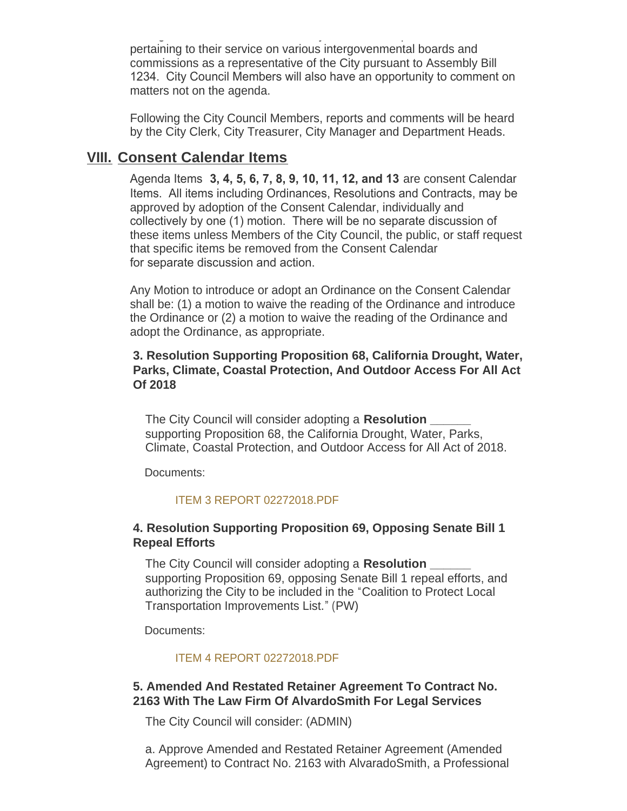During this time, members of the City Council will report on matters pertaining to their service on various intergovenmental boards and commissions as a representative of the City pursuant to Assembly Bill 1234. City Council Members will also have an opportunity to comment on matters not on the agenda.

Following the City Council Members, reports and comments will be heard by the City Clerk, City Treasurer, City Manager and Department Heads.

## **Consent Calendar Items VIII.**

Agenda Items **3, 4, 5, 6, 7, 8, 9, 10, 11, 12, and 13** are consent Calendar Items. All items including Ordinances, Resolutions and Contracts, may be approved by adoption of the Consent Calendar, individually and collectively by one (1) motion. There will be no separate discussion of these items unless Members of the City Council, the public, or staff request that specific items be removed from the Consent Calendar for separate discussion and action.

Any Motion to introduce or adopt an Ordinance on the Consent Calendar shall be: (1) a motion to waive the reading of the Ordinance and introduce the Ordinance or (2) a motion to waive the reading of the Ordinance and adopt the Ordinance, as appropriate.

#### **3. Resolution Supporting Proposition 68, California Drought, Water, Parks, Climate, Coastal Protection, And Outdoor Access For All Act Of 2018**

The City Council will consider adopting a **Resolution \_\_\_\_\_\_** supporting Proposition 68, the California Drought, Water, Parks, Climate, Coastal Protection, and Outdoor Access for All Act of 2018.

Documents:

#### [ITEM 3 REPORT 02272018.PDF](http://cityofsouthgate.org/AgendaCenter/ViewFile/Item/5512?fileID=11773)

#### **4. Resolution Supporting Proposition 69, Opposing Senate Bill 1 Repeal Efforts**

The City Council will consider adopting a **Resolution \_\_\_\_\_\_** supporting Proposition 69, opposing Senate Bill 1 repeal efforts, and authorizing the City to be included in the "Coalition to Protect Local Transportation Improvements List." (PW)

Documents:

#### [ITEM 4 REPORT 02272018.PDF](http://cityofsouthgate.org/AgendaCenter/ViewFile/Item/5506?fileID=11767)

#### **5. Amended And Restated Retainer Agreement To Contract No. 2163 With The Law Firm Of AlvardoSmith For Legal Services**

The City Council will consider: (ADMIN)

a. Approve Amended and Restated Retainer Agreement (Amended Agreement) to Contract No. 2163 with AlvaradoSmith, a Professional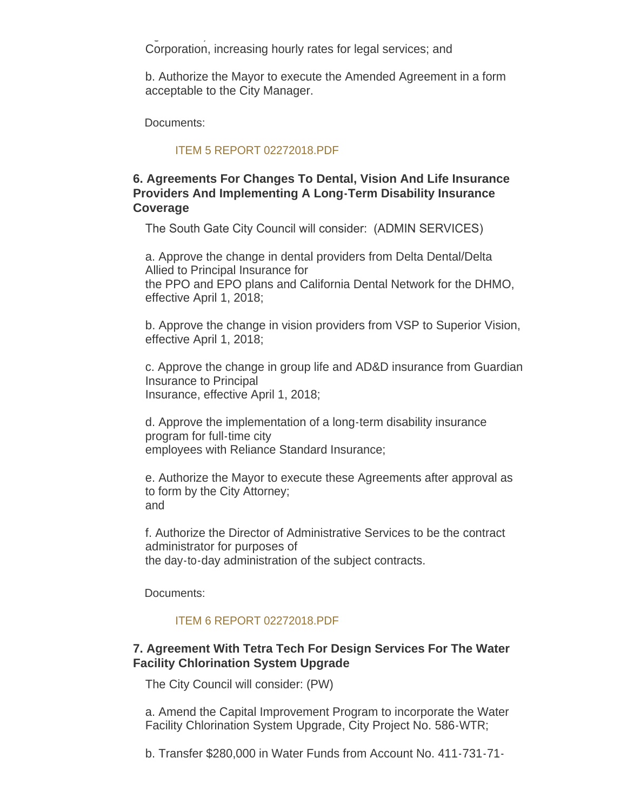$A_{\rm eff}$  and  $A_{\rm eff}$  with  $A_{\rm eff}$  with  $A_{\rm eff}$  with  $A_{\rm eff}$  with  $A_{\rm eff}$  with  $A_{\rm eff}$ Corporation, increasing hourly rates for legal services; and

b. Authorize the Mayor to execute the Amended Agreement in a form acceptable to the City Manager.

Documents:

#### [ITEM 5 REPORT 02272018.PDF](http://cityofsouthgate.org/AgendaCenter/ViewFile/Item/5513?fileID=11774)

#### **6. Agreements For Changes To Dental, Vision And Life Insurance Providers And Implementing A Long-Term Disability Insurance Coverage**

The South Gate City Council will consider: (ADMIN SERVICES)

a. Approve the change in dental providers from Delta Dental/Delta Allied to Principal Insurance for the PPO and EPO plans and California Dental Network for the DHMO, effective April 1, 2018;

b. Approve the change in vision providers from VSP to Superior Vision, effective April 1, 2018;

c. Approve the change in group life and AD&D insurance from Guardian Insurance to Principal Insurance, effective April 1, 2018;

d. Approve the implementation of a long-term disability insurance program for full-time city employees with Reliance Standard Insurance;

e. Authorize the Mayor to execute these Agreements after approval as to form by the City Attorney; and

f. Authorize the Director of Administrative Services to be the contract administrator for purposes of the day-to-day administration of the subject contracts.

Documents:

#### [ITEM 6 REPORT 02272018.PDF](http://cityofsouthgate.org/AgendaCenter/ViewFile/Item/5511?fileID=11772)

#### **7. Agreement With Tetra Tech For Design Services For The Water Facility Chlorination System Upgrade**

The City Council will consider: (PW)

a. Amend the Capital Improvement Program to incorporate the Water Facility Chlorination System Upgrade, City Project No. 586-WTR;

b. Transfer \$280,000 in Water Funds from Account No. 411-731-71-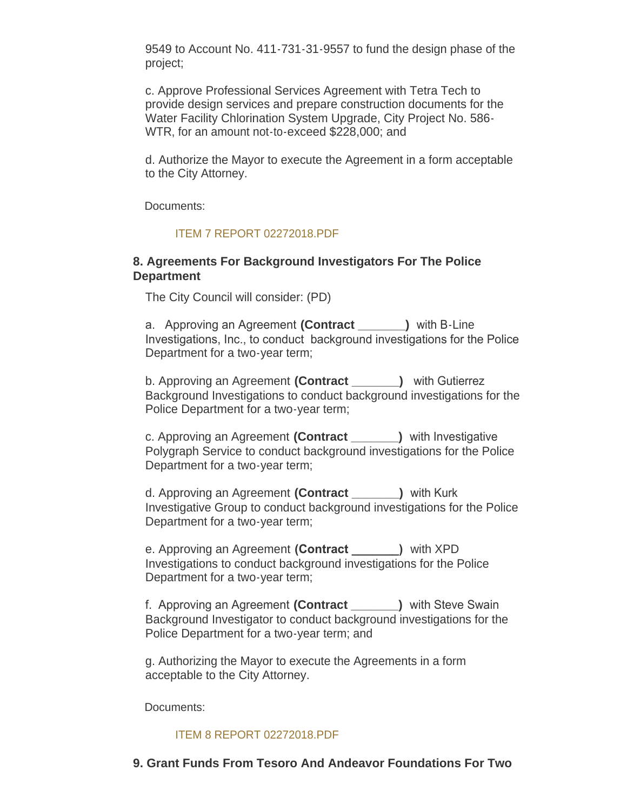9549 to Account No. 411-731-31-9557 to fund the design phase of the project;

c. Approve Professional Services Agreement with Tetra Tech to provide design services and prepare construction documents for the Water Facility Chlorination System Upgrade, City Project No. 586- WTR, for an amount not-to-exceed \$228,000; and

d. Authorize the Mayor to execute the Agreement in a form acceptable to the City Attorney.

Documents:

#### [ITEM 7 REPORT 02272018.PDF](http://cityofsouthgate.org/AgendaCenter/ViewFile/Item/5510?fileID=11771)

#### **8. Agreements For Background Investigators For The Police Department**

The City Council will consider: (PD)

a. Approving an Agreement **(Contract \_\_\_\_\_\_\_)** with B-Line Investigations, Inc., to conduct background investigations for the Police Department for a two-year term;

b. Approving an Agreement **(Contract \_\_\_\_\_\_\_)** with Gutierrez Background Investigations to conduct background investigations for the Police Department for a two-year term;

c. Approving an Agreement **(Contract \_\_\_\_\_\_\_)** with Investigative Polygraph Service to conduct background investigations for the Police Department for a two-year term;

d. Approving an Agreement **(Contract \_\_\_\_\_\_\_)** with Kurk Investigative Group to conduct background investigations for the Police Department for a two-year term;

e. Approving an Agreement **(Contract \_\_\_\_\_\_\_)** with XPD Investigations to conduct background investigations for the Police Department for a two-year term;

f. Approving an Agreement **(Contract \_\_\_\_\_\_\_)** with Steve Swain Background Investigator to conduct background investigations for the Police Department for a two-year term; and

g. Authorizing the Mayor to execute the Agreements in a form acceptable to the City Attorney.

Documents:

#### [ITEM 8 REPORT 02272018.PDF](http://cityofsouthgate.org/AgendaCenter/ViewFile/Item/5495?fileID=11766)

**9. Grant Funds From Tesoro And Andeavor Foundations For Two**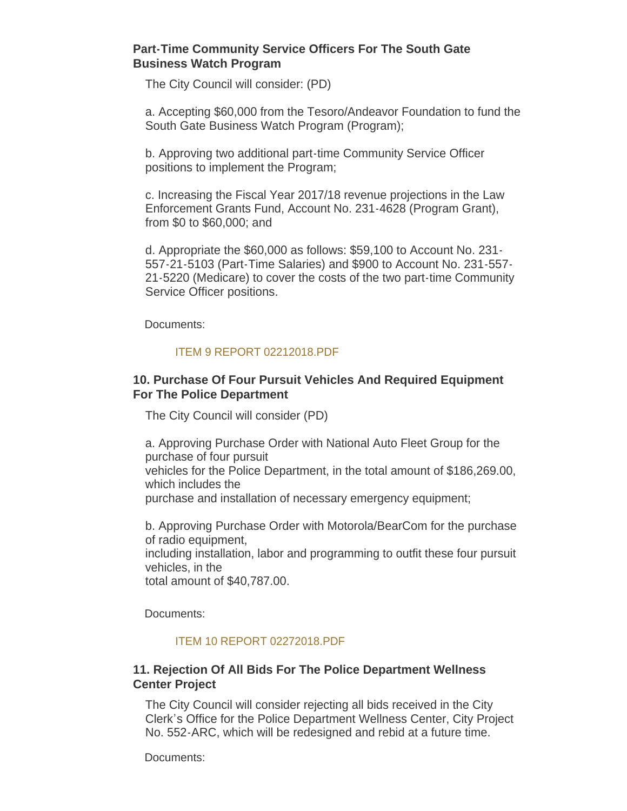#### **Part-Time Community Service Officers For The South Gate Business Watch Program**

The City Council will consider: (PD)

a. Accepting \$60,000 from the Tesoro/Andeavor Foundation to fund the South Gate Business Watch Program (Program);

b. Approving two additional part-time Community Service Officer positions to implement the Program;

c. Increasing the Fiscal Year 2017/18 revenue projections in the Law Enforcement Grants Fund, Account No. 231-4628 (Program Grant), from \$0 to \$60,000; and

d. Appropriate the \$60,000 as follows: \$59,100 to Account No. 231- 557-21-5103 (Part-Time Salaries) and \$900 to Account No. 231-557- 21-5220 (Medicare) to cover the costs of the two part-time Community Service Officer positions.

Documents:

#### [ITEM 9 REPORT 02212018.PDF](http://cityofsouthgate.org/AgendaCenter/ViewFile/Item/5496?fileID=11741)

#### **10. Purchase Of Four Pursuit Vehicles And Required Equipment For The Police Department**

The City Council will consider (PD)

a. Approving Purchase Order with National Auto Fleet Group for the purchase of four pursuit vehicles for the Police Department, in the total amount of \$186,269.00, which includes the purchase and installation of necessary emergency equipment;

b. Approving Purchase Order with Motorola/BearCom for the purchase of radio equipment, including installation, labor and programming to outfit these four pursuit

vehicles, in the

total amount of \$40,787.00.

Documents:

#### [ITEM 10 REPORT 02272018.PDF](http://cityofsouthgate.org/AgendaCenter/ViewFile/Item/5507?fileID=11768)

#### **11. Rejection Of All Bids For The Police Department Wellness Center Project**

The City Council will consider rejecting all bids received in the City Clerk's Office for the Police Department Wellness Center, City Project No. 552-ARC, which will be redesigned and rebid at a future time.

Documents: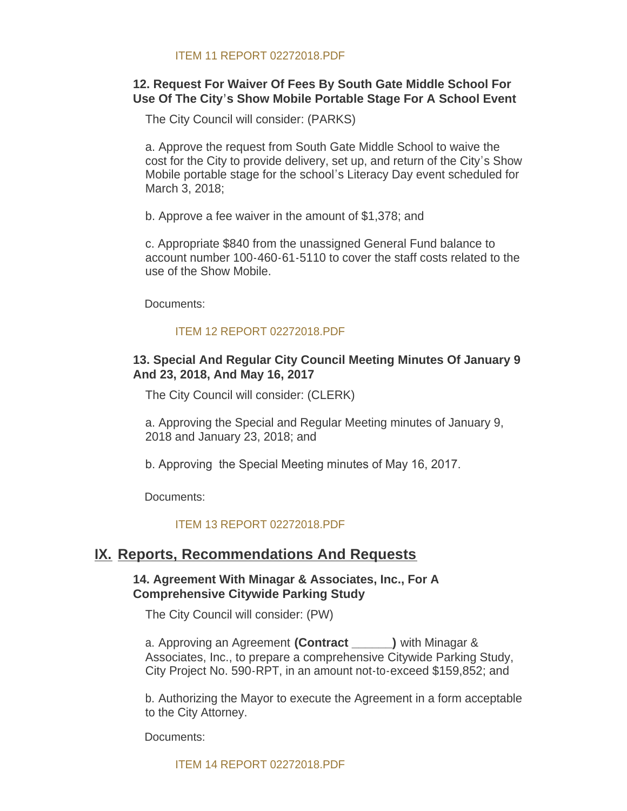#### **12. Request For Waiver Of Fees By South Gate Middle School For Use Of The City's Show Mobile Portable Stage For A School Event**

The City Council will consider: (PARKS)

a. Approve the request from South Gate Middle School to waive the cost for the City to provide delivery, set up, and return of the City's Show Mobile portable stage for the school's Literacy Day event scheduled for March 3, 2018;

b. Approve a fee waiver in the amount of \$1,378; and

c. Appropriate \$840 from the unassigned General Fund balance to account number 100-460-61-5110 to cover the staff costs related to the use of the Show Mobile.

Documents:

#### [ITEM 12 REPORT 02272018.PDF](http://cityofsouthgate.org/AgendaCenter/ViewFile/Item/5509?fileID=11770)

#### **13. Special And Regular City Council Meeting Minutes Of January 9 And 23, 2018, And May 16, 2017**

The City Council will consider: (CLERK)

a. Approving the Special and Regular Meeting minutes of January 9, 2018 and January 23, 2018; and

b. Approving the Special Meeting minutes of May 16, 2017.

Documents:

#### [ITEM 13 REPORT 02272018.PDF](http://cityofsouthgate.org/AgendaCenter/ViewFile/Item/5497?fileID=11764)

### **IX. Reports, Recommendations And Requests**

#### **14. Agreement With Minagar & Associates, Inc., For A Comprehensive Citywide Parking Study**

The City Council will consider: (PW)

a. Approving an Agreement **(Contract \_\_\_\_\_\_)** with Minagar & Associates, Inc., to prepare a comprehensive Citywide Parking Study, City Project No. 590-RPT, in an amount not-to-exceed \$159,852; and

b. Authorizing the Mayor to execute the Agreement in a form acceptable to the City Attorney.

Documents:

[ITEM 14 REPORT 02272018.PDF](http://cityofsouthgate.org/AgendaCenter/ViewFile/Item/5524?fileID=11776)